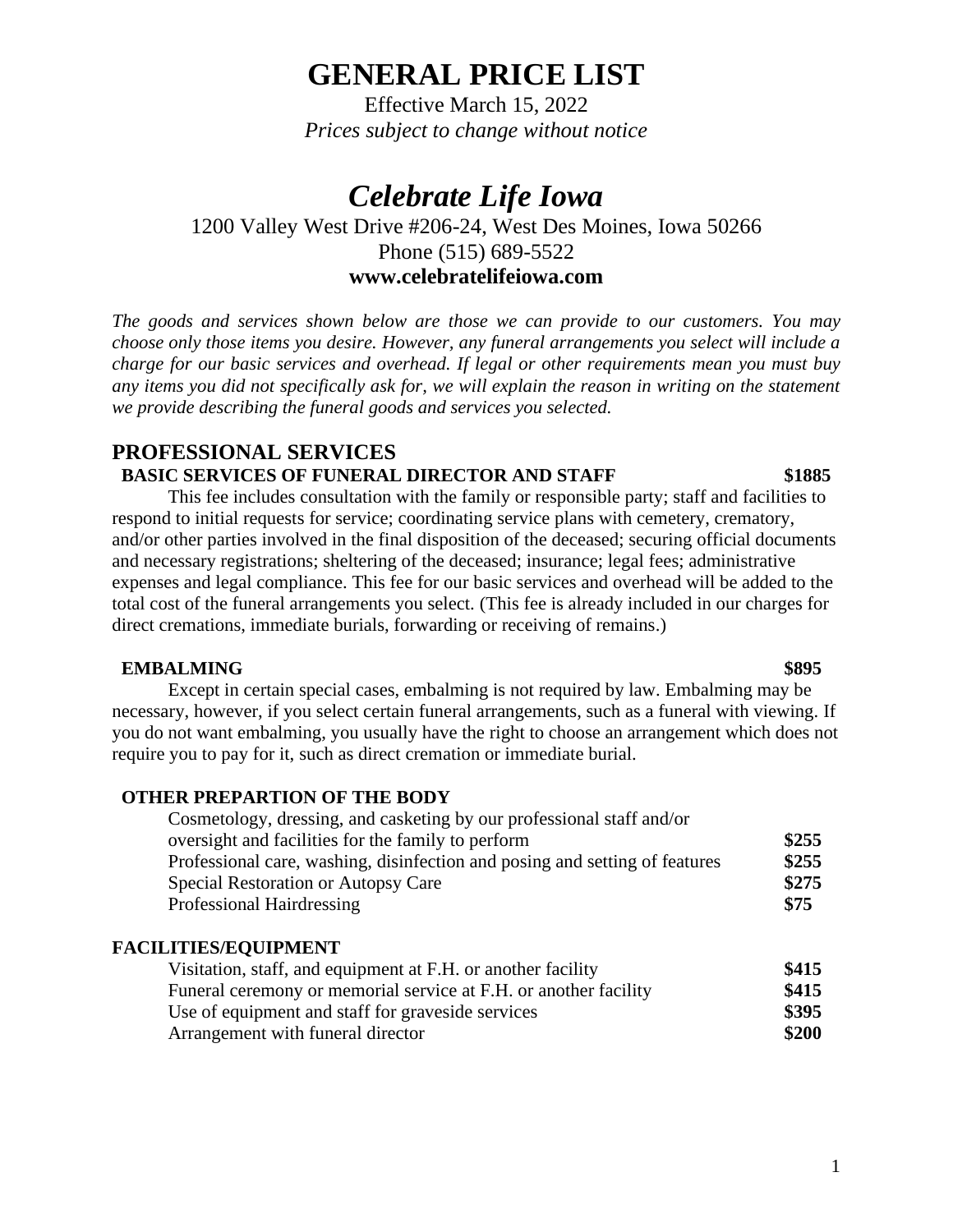# **GENERAL PRICE LIST**

Effective March 15, 2022 *Prices subject to change without notice*

# *Celebrate Life Iowa*

## 1200 Valley West Drive #206-24, West Des Moines, Iowa 50266 Phone (515) 689-5522 **www.celebratelifeiowa.com**

*The goods and services shown below are those we can provide to our customers. You may choose only those items you desire. However, any funeral arrangements you select will include a charge for our basic services and overhead. If legal or other requirements mean you must buy any items you did not specifically ask for, we will explain the reason in writing on the statement we provide describing the funeral goods and services you selected.*

## **PROFESSIONAL SERVICES BASIC SERVICES OF FUNERAL DIRECTOR AND STAFF \$1885**

This fee includes consultation with the family or responsible party; staff and facilities to respond to initial requests for service; coordinating service plans with cemetery, crematory, and/or other parties involved in the final disposition of the deceased; securing official documents and necessary registrations; sheltering of the deceased; insurance; legal fees; administrative expenses and legal compliance. This fee for our basic services and overhead will be added to the total cost of the funeral arrangements you select. (This fee is already included in our charges for direct cremations, immediate burials, forwarding or receiving of remains.)

### **EMBALMING \$895**

Except in certain special cases, embalming is not required by law. Embalming may be necessary, however, if you select certain funeral arrangements, such as a funeral with viewing. If you do not want embalming, you usually have the right to choose an arrangement which does not require you to pay for it, such as direct cremation or immediate burial.

### **OTHER PREPARTION OF THE BODY**

| Cosmetology, dressing, and casketing by our professional staff and/or       |       |
|-----------------------------------------------------------------------------|-------|
| oversight and facilities for the family to perform                          | \$255 |
| Professional care, washing, disinfection and posing and setting of features | \$255 |
| Special Restoration or Autopsy Care                                         | \$275 |
| Professional Hairdressing                                                   | \$75  |

### **FACILITIES/EQUIPMENT**

| Visitation, staff, and equipment at F.H. or another facility     | \$415 |
|------------------------------------------------------------------|-------|
| Funeral ceremony or memorial service at F.H. or another facility | \$415 |
| Use of equipment and staff for graveside services                | \$395 |
| Arrangement with funeral director                                | \$200 |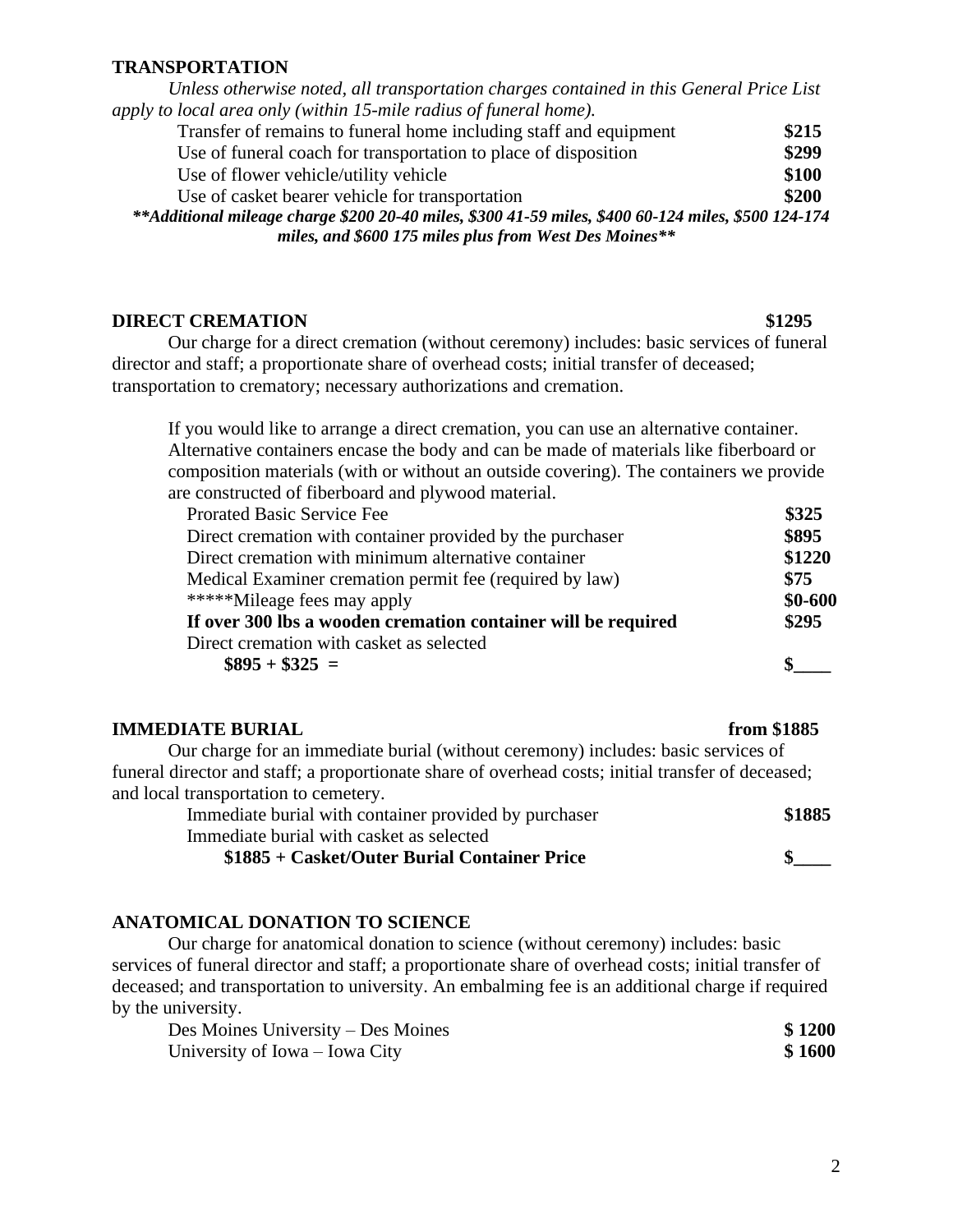#### **TRANSPORTATION**

*Unless otherwise noted, all transportation charges contained in this General Price List apply to local area only (within 15-mile radius of funeral home).*

| Transfer of remains to funeral home including staff and equipment                                   | \$215 |
|-----------------------------------------------------------------------------------------------------|-------|
| Use of funeral coach for transportation to place of disposition                                     | \$299 |
| Use of flower vehicle/utility vehicle                                                               | \$100 |
| Use of casket bearer vehicle for transportation                                                     | \$200 |
| **Additional mileage charge \$200 20-40 miles, \$300 41-59 miles, \$400 60-124 miles, \$500 124-174 |       |
| miles, and \$600 175 miles plus from West Des Moines**                                              |       |

#### **DIRECT CREMATION** \$1295

Our charge for a direct cremation (without ceremony) includes: basic services of funeral director and staff; a proportionate share of overhead costs; initial transfer of deceased; transportation to crematory; necessary authorizations and cremation.

If you would like to arrange a direct cremation, you can use an alternative container. Alternative containers encase the body and can be made of materials like fiberboard or composition materials (with or without an outside covering). The containers we provide are constructed of fiberboard and plywood material.

| <b>Prorated Basic Service Fee</b>                             | \$325      |
|---------------------------------------------------------------|------------|
| Direct cremation with container provided by the purchaser     | \$895      |
| Direct cremation with minimum alternative container           | \$1220     |
| Medical Examiner cremation permit fee (required by law)       | \$75       |
| *****Mileage fees may apply                                   | $$0 - 600$ |
| If over 300 lbs a wooden cremation container will be required | \$295      |
| Direct cremation with casket as selected                      |            |
| $\$895 + \$325 =$                                             |            |

#### **IMMEDIATE BURIAL from \$1885**

Our charge for an immediate burial (without ceremony) includes: basic services of funeral director and staff; a proportionate share of overhead costs; initial transfer of deceased; and local transportation to cemetery.

| Immediate burial with container provided by purchaser | \$1885 |
|-------------------------------------------------------|--------|
| Immediate burial with casket as selected              |        |
| \$1885 + Casket/Outer Burial Container Price          |        |

### **ANATOMICAL DONATION TO SCIENCE**

Our charge for anatomical donation to science (without ceremony) includes: basic services of funeral director and staff; a proportionate share of overhead costs; initial transfer of deceased; and transportation to university. An embalming fee is an additional charge if required by the university.

| Des Moines University – Des Moines | \$1200 |
|------------------------------------|--------|
| University of Iowa – Iowa City     | \$1600 |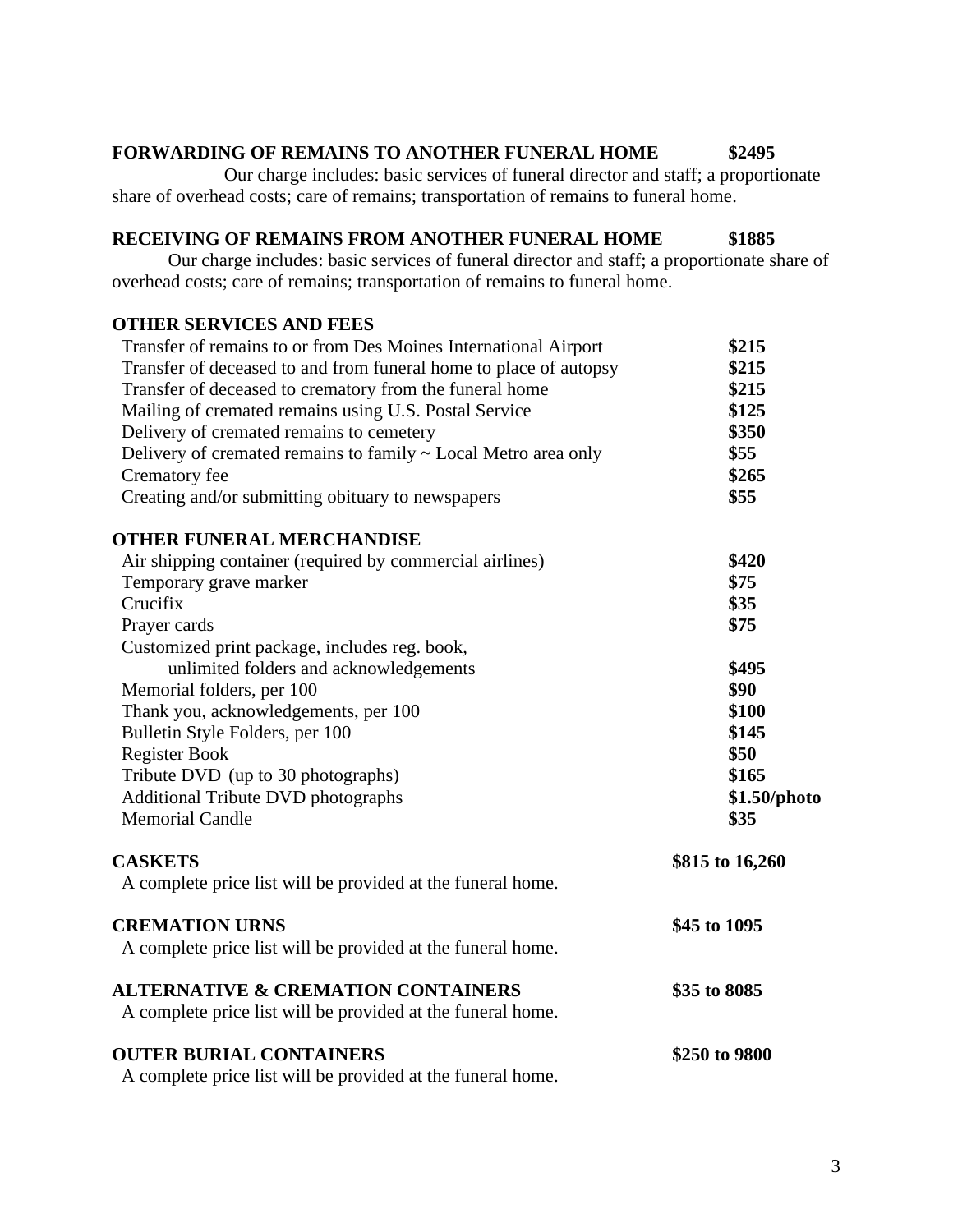### **FORWARDING OF REMAINS TO ANOTHER FUNERAL HOME \$2495**

Our charge includes: basic services of funeral director and staff; a proportionate share of overhead costs; care of remains; transportation of remains to funeral home.

### **RECEIVING OF REMAINS FROM ANOTHER FUNERAL HOME \$1885**

Our charge includes: basic services of funeral director and staff; a proportionate share of overhead costs; care of remains; transportation of remains to funeral home.

### **OTHER SERVICES AND FEES**

| Transfer of remains to or from Des Moines International Airport   | \$215           |
|-------------------------------------------------------------------|-----------------|
| Transfer of deceased to and from funeral home to place of autopsy | \$215           |
| Transfer of deceased to crematory from the funeral home           | \$215           |
| Mailing of cremated remains using U.S. Postal Service             | \$125           |
| Delivery of cremated remains to cemetery                          | \$350           |
| Delivery of cremated remains to family ~ Local Metro area only    | \$55            |
| Crematory fee                                                     | \$265           |
| Creating and/or submitting obituary to newspapers                 | \$55            |
| <b>OTHER FUNERAL MERCHANDISE</b>                                  |                 |
| Air shipping container (required by commercial airlines)          | \$420           |
| Temporary grave marker                                            | \$75            |
| Crucifix                                                          | \$35            |
| Prayer cards                                                      | \$75            |
| Customized print package, includes reg. book,                     |                 |
| unlimited folders and acknowledgements                            | \$495           |
| Memorial folders, per 100                                         | \$90            |
| Thank you, acknowledgements, per 100                              | \$100           |
| Bulletin Style Folders, per 100                                   | \$145           |
| <b>Register Book</b>                                              | \$50            |
| Tribute DVD (up to 30 photographs)                                | \$165           |
| <b>Additional Tribute DVD photographs</b>                         | \$1.50/photo    |
| <b>Memorial Candle</b>                                            | \$35            |
| <b>CASKETS</b>                                                    | \$815 to 16,260 |
| A complete price list will be provided at the funeral home.       |                 |
| <b>CREMATION URNS</b>                                             | \$45 to 1095    |
| A complete price list will be provided at the funeral home.       |                 |
| <b>ALTERNATIVE &amp; CREMATION CONTAINERS</b>                     | \$35 to 8085    |
| A complete price list will be provided at the funeral home.       |                 |
| <b>OUTER BURIAL CONTAINERS</b>                                    | \$250 to 9800   |
| A complete price list will be provided at the funeral home.       |                 |